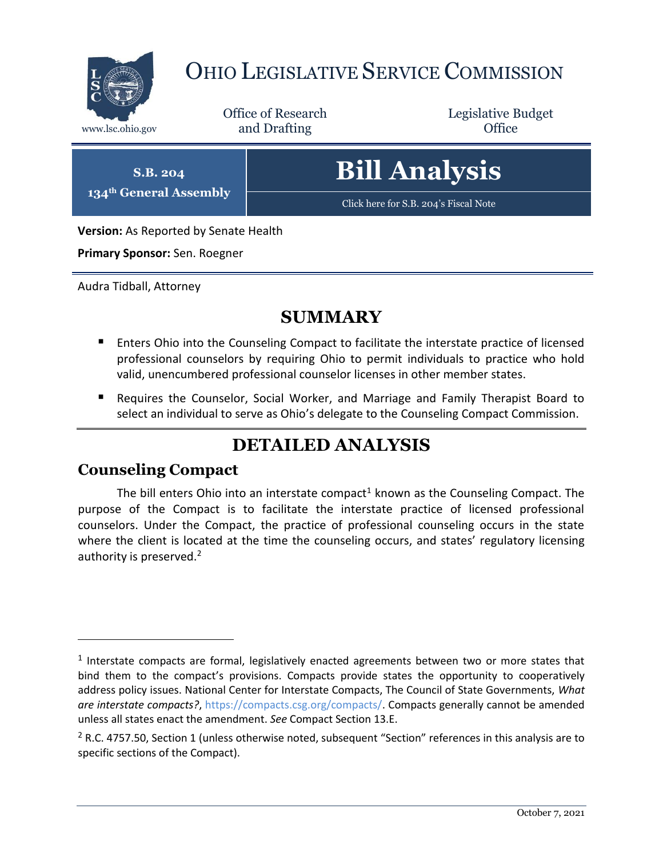

# OHIO LEGISLATIVE SERVICE COMMISSION

Office of Research www.lsc.ohio.gov **and Drafting Office** 

Legislative Budget

**S.B. 204 134th General Assembly** **Bill Analysis**

[Click here for S.B. 204](https://www.legislature.ohio.gov/legislation/legislation-documents?id=GA134-SB-204)'s Fiscal Note

**Version:** As Reported by Senate Health

**Primary Sponsor:** Sen. Roegner

Audra Tidball, Attorney

# **SUMMARY**

- **E** Enters Ohio into the Counseling Compact to facilitate the interstate practice of licensed professional counselors by requiring Ohio to permit individuals to practice who hold valid, unencumbered professional counselor licenses in other member states.
- Requires the Counselor, Social Worker, and Marriage and Family Therapist Board to select an individual to serve as Ohio's delegate to the Counseling Compact Commission.

# **DETAILED ANALYSIS**

## **Counseling Compact**

 $\overline{a}$ 

The bill enters Ohio into an interstate compact<sup>1</sup> known as the Counseling Compact. The purpose of the Compact is to facilitate the interstate practice of licensed professional counselors. Under the Compact, the practice of professional counseling occurs in the state where the client is located at the time the counseling occurs, and states' regulatory licensing authority is preserved.<sup>2</sup>

 $<sup>1</sup>$  Interstate compacts are formal, legislatively enacted agreements between two or more states that</sup> bind them to the compact's provisions. Compacts provide states the opportunity to cooperatively address policy issues. National Center for Interstate Compacts, The Council of State Governments, *What are interstate compacts?*, [https://compacts.csg.org/compacts/.](https://compacts.csg.org/compacts/) Compacts generally cannot be amended unless all states enact the amendment. *See* Compact Section 13.E.

 $2$  R.C. 4757.50, Section 1 (unless otherwise noted, subsequent "Section" references in this analysis are to specific sections of the Compact).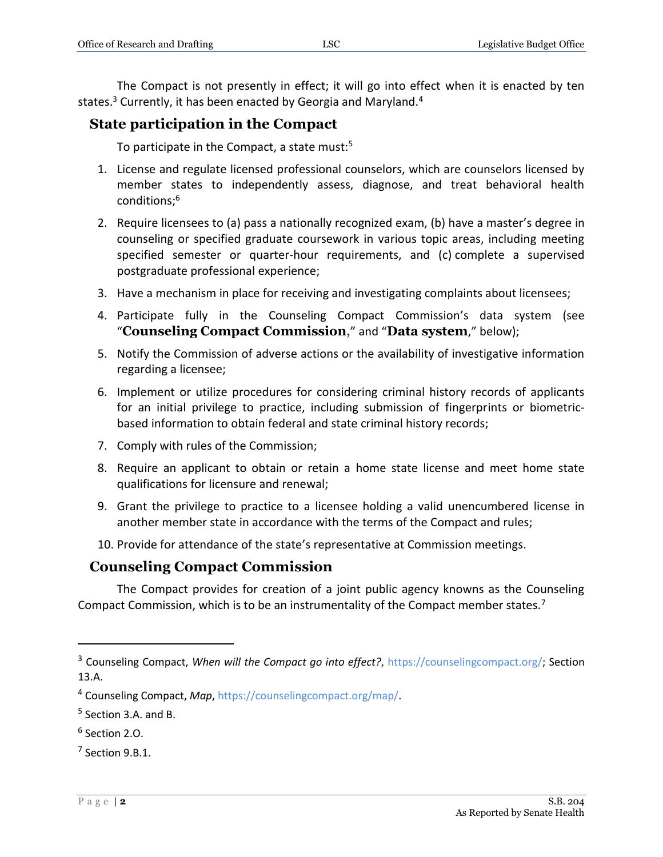The Compact is not presently in effect; it will go into effect when it is enacted by ten states.<sup>3</sup> Currently, it has been enacted by Georgia and Maryland.<sup>4</sup>

## **State participation in the Compact**

To participate in the Compact, a state must:<sup>5</sup>

- 1. License and regulate licensed professional counselors, which are counselors licensed by member states to independently assess, diagnose, and treat behavioral health conditions;<sup>6</sup>
- 2. Require licensees to (a) pass a nationally recognized exam, (b) have a master's degree in counseling or specified graduate coursework in various topic areas, including meeting specified semester or quarter-hour requirements, and (c) complete a supervised postgraduate professional experience;
- 3. Have a mechanism in place for receiving and investigating complaints about licensees;
- 4. Participate fully in the Counseling Compact Commission's data system (see "**Counseling Compact Commission**," and "**Data system**," below);
- 5. Notify the Commission of adverse actions or the availability of investigative information regarding a licensee;
- 6. Implement or utilize procedures for considering criminal history records of applicants for an initial privilege to practice, including submission of fingerprints or biometricbased information to obtain federal and state criminal history records;
- 7. Comply with rules of the Commission;
- 8. Require an applicant to obtain or retain a home state license and meet home state qualifications for licensure and renewal;
- 9. Grant the privilege to practice to a licensee holding a valid unencumbered license in another member state in accordance with the terms of the Compact and rules;
- 10. Provide for attendance of the state's representative at Commission meetings.

## **Counseling Compact Commission**

The Compact provides for creation of a joint public agency knowns as the Counseling Compact Commission, which is to be an instrumentality of the Compact member states.<sup>7</sup>

<sup>&</sup>lt;sup>3</sup> Counseling Compact, *When will the Compact go into effect?*, [https://counselingcompact.org/;](https://counselingcompact.org/) Section 13.A.

<sup>4</sup> Counseling Compact, *Map*, [https://counselingcompact.org/map/.](https://counselingcompact.org/map/)

<sup>&</sup>lt;sup>5</sup> Section 3.A. and B.

<sup>6</sup> Section 2.O.

 $7$  Section 9.B.1.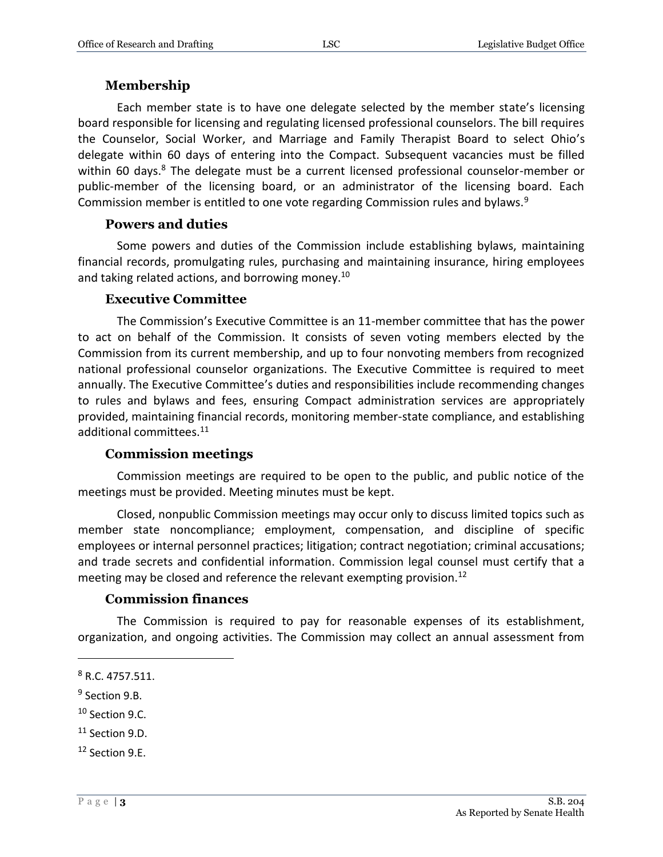#### **Membership**

Each member state is to have one delegate selected by the member state's licensing board responsible for licensing and regulating licensed professional counselors. The bill requires the Counselor, Social Worker, and Marriage and Family Therapist Board to select Ohio's delegate within 60 days of entering into the Compact. Subsequent vacancies must be filled within 60 days.<sup>8</sup> The delegate must be a current licensed professional counselor-member or public-member of the licensing board, or an administrator of the licensing board. Each Commission member is entitled to one vote regarding Commission rules and bylaws.<sup>9</sup>

#### **Powers and duties**

Some powers and duties of the Commission include establishing bylaws, maintaining financial records, promulgating rules, purchasing and maintaining insurance, hiring employees and taking related actions, and borrowing money.<sup>10</sup>

#### **Executive Committee**

The Commission's Executive Committee is an 11-member committee that has the power to act on behalf of the Commission. It consists of seven voting members elected by the Commission from its current membership, and up to four nonvoting members from recognized national professional counselor organizations. The Executive Committee is required to meet annually. The Executive Committee's duties and responsibilities include recommending changes to rules and bylaws and fees, ensuring Compact administration services are appropriately provided, maintaining financial records, monitoring member-state compliance, and establishing additional committees.<sup>11</sup>

#### **Commission meetings**

Commission meetings are required to be open to the public, and public notice of the meetings must be provided. Meeting minutes must be kept.

Closed, nonpublic Commission meetings may occur only to discuss limited topics such as member state noncompliance; employment, compensation, and discipline of specific employees or internal personnel practices; litigation; contract negotiation; criminal accusations; and trade secrets and confidential information. Commission legal counsel must certify that a meeting may be closed and reference the relevant exempting provision.<sup>12</sup>

#### **Commission finances**

The Commission is required to pay for reasonable expenses of its establishment, organization, and ongoing activities. The Commission may collect an annual assessment from

 $\overline{a}$ 

<sup>10</sup> Section 9.C.

<sup>8</sup> R.C. 4757.511.

<sup>&</sup>lt;sup>9</sup> Section 9.B.

<sup>&</sup>lt;sup>11</sup> Section 9.D.

<sup>12</sup> Section 9.E.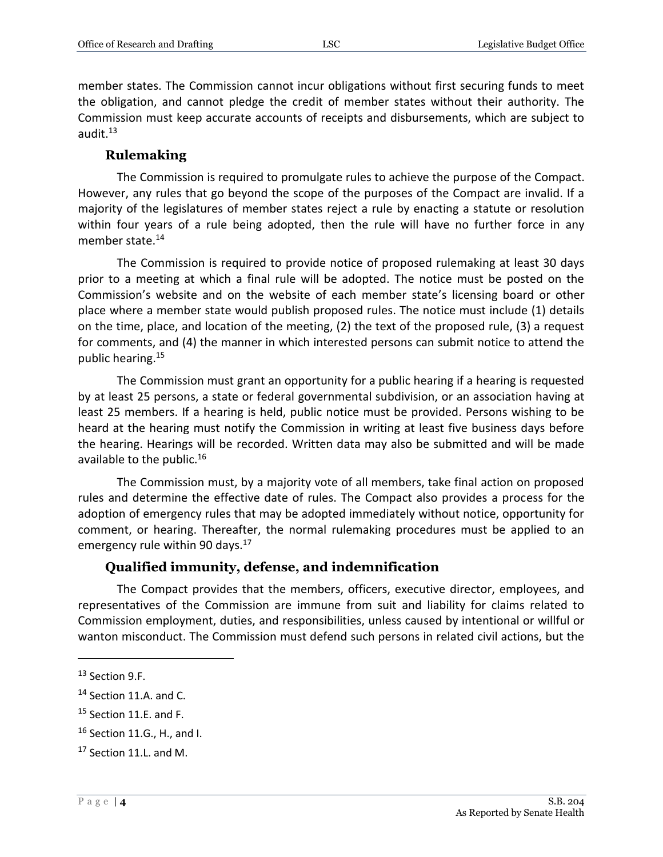member states. The Commission cannot incur obligations without first securing funds to meet the obligation, and cannot pledge the credit of member states without their authority. The Commission must keep accurate accounts of receipts and disbursements, which are subject to audit. $13$ 

#### **Rulemaking**

The Commission is required to promulgate rules to achieve the purpose of the Compact. However, any rules that go beyond the scope of the purposes of the Compact are invalid. If a majority of the legislatures of member states reject a rule by enacting a statute or resolution within four years of a rule being adopted, then the rule will have no further force in any member state.<sup>14</sup>

The Commission is required to provide notice of proposed rulemaking at least 30 days prior to a meeting at which a final rule will be adopted. The notice must be posted on the Commission's website and on the website of each member state's licensing board or other place where a member state would publish proposed rules. The notice must include (1) details on the time, place, and location of the meeting, (2) the text of the proposed rule, (3) a request for comments, and (4) the manner in which interested persons can submit notice to attend the public hearing.<sup>15</sup>

The Commission must grant an opportunity for a public hearing if a hearing is requested by at least 25 persons, a state or federal governmental subdivision, or an association having at least 25 members. If a hearing is held, public notice must be provided. Persons wishing to be heard at the hearing must notify the Commission in writing at least five business days before the hearing. Hearings will be recorded. Written data may also be submitted and will be made available to the public.<sup>16</sup>

The Commission must, by a majority vote of all members, take final action on proposed rules and determine the effective date of rules. The Compact also provides a process for the adoption of emergency rules that may be adopted immediately without notice, opportunity for comment, or hearing. Thereafter, the normal rulemaking procedures must be applied to an emergency rule within 90 days.<sup>17</sup>

#### **Qualified immunity, defense, and indemnification**

The Compact provides that the members, officers, executive director, employees, and representatives of the Commission are immune from suit and liability for claims related to Commission employment, duties, and responsibilities, unless caused by intentional or willful or wanton misconduct. The Commission must defend such persons in related civil actions, but the

<sup>13</sup> Section 9.F.

<sup>&</sup>lt;sup>14</sup> Section 11.A. and C.

 $15$  Section 11.E. and F.

<sup>16</sup> Section 11.G., H., and I.

<sup>&</sup>lt;sup>17</sup> Section 11.L. and M.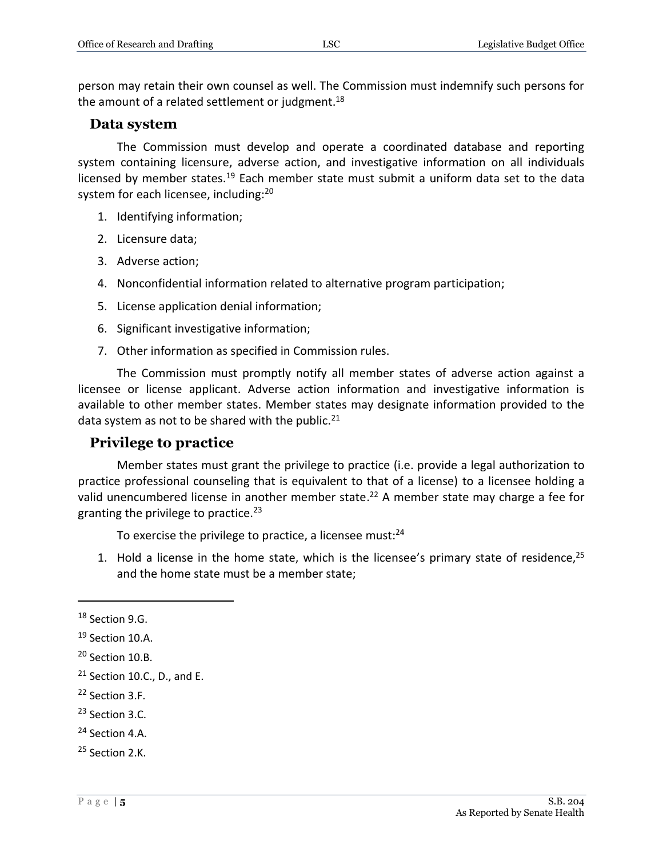person may retain their own counsel as well. The Commission must indemnify such persons for the amount of a related settlement or judgment. $18$ 

## **Data system**

The Commission must develop and operate a coordinated database and reporting system containing licensure, adverse action, and investigative information on all individuals licensed by member states.<sup>19</sup> Each member state must submit a uniform data set to the data system for each licensee, including:<sup>20</sup>

- 1. Identifying information;
- 2. Licensure data;
- 3. Adverse action;
- 4. Nonconfidential information related to alternative program participation;
- 5. License application denial information;
- 6. Significant investigative information;
- 7. Other information as specified in Commission rules.

The Commission must promptly notify all member states of adverse action against a licensee or license applicant. Adverse action information and investigative information is available to other member states. Member states may designate information provided to the data system as not to be shared with the public. $^{21}$ 

## **Privilege to practice**

Member states must grant the privilege to practice (i.e. provide a legal authorization to practice professional counseling that is equivalent to that of a license) to a licensee holding a valid unencumbered license in another member state.<sup>22</sup> A member state may charge a fee for granting the privilege to practice. $23$ 

To exercise the privilege to practice, a licensee must:<sup>24</sup>

1. Hold a license in the home state, which is the licensee's primary state of residence,<sup>25</sup> and the home state must be a member state;

- <sup>22</sup> Section 3.F.
- <sup>23</sup> Section 3.C.

<sup>&</sup>lt;sup>18</sup> Section 9.G.

<sup>&</sup>lt;sup>19</sup> Section 10.A.

<sup>&</sup>lt;sup>20</sup> Section 10.B.

 $21$  Section 10.C., D., and E.

<sup>24</sup> Section 4.A.

<sup>25</sup> Section 2.K.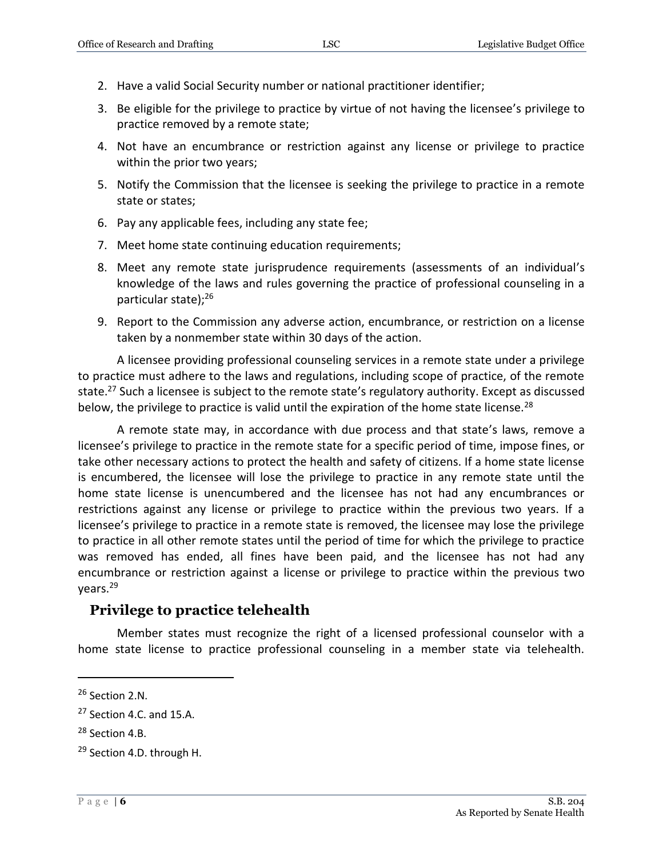- 2. Have a valid Social Security number or national practitioner identifier;
- 3. Be eligible for the privilege to practice by virtue of not having the licensee's privilege to practice removed by a remote state;
- 4. Not have an encumbrance or restriction against any license or privilege to practice within the prior two years;
- 5. Notify the Commission that the licensee is seeking the privilege to practice in a remote state or states;
- 6. Pay any applicable fees, including any state fee;
- 7. Meet home state continuing education requirements;
- 8. Meet any remote state jurisprudence requirements (assessments of an individual's knowledge of the laws and rules governing the practice of professional counseling in a particular state);<sup>26</sup>
- 9. Report to the Commission any adverse action, encumbrance, or restriction on a license taken by a nonmember state within 30 days of the action.

A licensee providing professional counseling services in a remote state under a privilege to practice must adhere to the laws and regulations, including scope of practice, of the remote state.<sup>27</sup> Such a licensee is subject to the remote state's regulatory authority. Except as discussed below, the privilege to practice is valid until the expiration of the home state license.<sup>28</sup>

A remote state may, in accordance with due process and that state's laws, remove a licensee's privilege to practice in the remote state for a specific period of time, impose fines, or take other necessary actions to protect the health and safety of citizens. If a home state license is encumbered, the licensee will lose the privilege to practice in any remote state until the home state license is unencumbered and the licensee has not had any encumbrances or restrictions against any license or privilege to practice within the previous two years. If a licensee's privilege to practice in a remote state is removed, the licensee may lose the privilege to practice in all other remote states until the period of time for which the privilege to practice was removed has ended, all fines have been paid, and the licensee has not had any encumbrance or restriction against a license or privilege to practice within the previous two years.<sup>29</sup>

#### **Privilege to practice telehealth**

Member states must recognize the right of a licensed professional counselor with a home state license to practice professional counseling in a member state via telehealth.

<sup>26</sup> Section 2.N.

<sup>&</sup>lt;sup>27</sup> Section 4.C. and 15.A.

<sup>&</sup>lt;sup>28</sup> Section 4.B.

<sup>29</sup> Section 4.D. through H.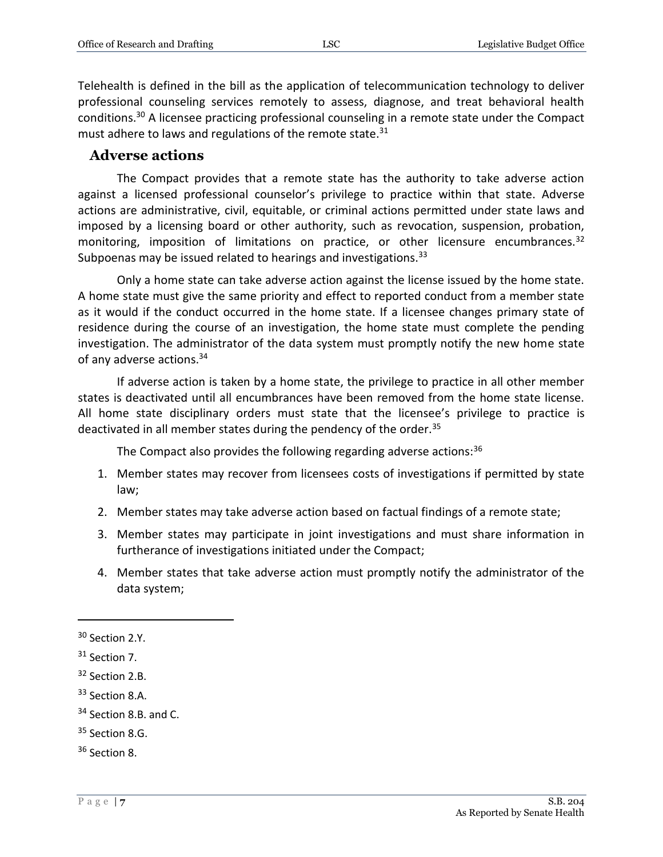Telehealth is defined in the bill as the application of telecommunication technology to deliver professional counseling services remotely to assess, diagnose, and treat behavioral health conditions.<sup>30</sup> A licensee practicing professional counseling in a remote state under the Compact must adhere to laws and regulations of the remote state. $31$ 

#### **Adverse actions**

The Compact provides that a remote state has the authority to take adverse action against a licensed professional counselor's privilege to practice within that state. Adverse actions are administrative, civil, equitable, or criminal actions permitted under state laws and imposed by a licensing board or other authority, such as revocation, suspension, probation, monitoring, imposition of limitations on practice, or other licensure encumbrances.<sup>32</sup> Subpoenas may be issued related to hearings and investigations.<sup>33</sup>

Only a home state can take adverse action against the license issued by the home state. A home state must give the same priority and effect to reported conduct from a member state as it would if the conduct occurred in the home state. If a licensee changes primary state of residence during the course of an investigation, the home state must complete the pending investigation. The administrator of the data system must promptly notify the new home state of any adverse actions.<sup>34</sup>

If adverse action is taken by a home state, the privilege to practice in all other member states is deactivated until all encumbrances have been removed from the home state license. All home state disciplinary orders must state that the licensee's privilege to practice is deactivated in all member states during the pendency of the order.<sup>35</sup>

The Compact also provides the following regarding adverse actions:<sup>36</sup>

- 1. Member states may recover from licensees costs of investigations if permitted by state law;
- 2. Member states may take adverse action based on factual findings of a remote state;
- 3. Member states may participate in joint investigations and must share information in furtherance of investigations initiated under the Compact;
- 4. Member states that take adverse action must promptly notify the administrator of the data system;

<sup>&</sup>lt;sup>30</sup> Section 2.Y.

<sup>&</sup>lt;sup>31</sup> Section 7.

<sup>32</sup> Section 2.B.

<sup>33</sup> Section 8.A.

<sup>&</sup>lt;sup>34</sup> Section 8.B. and C.

<sup>&</sup>lt;sup>35</sup> Section 8.G.

<sup>36</sup> Section 8.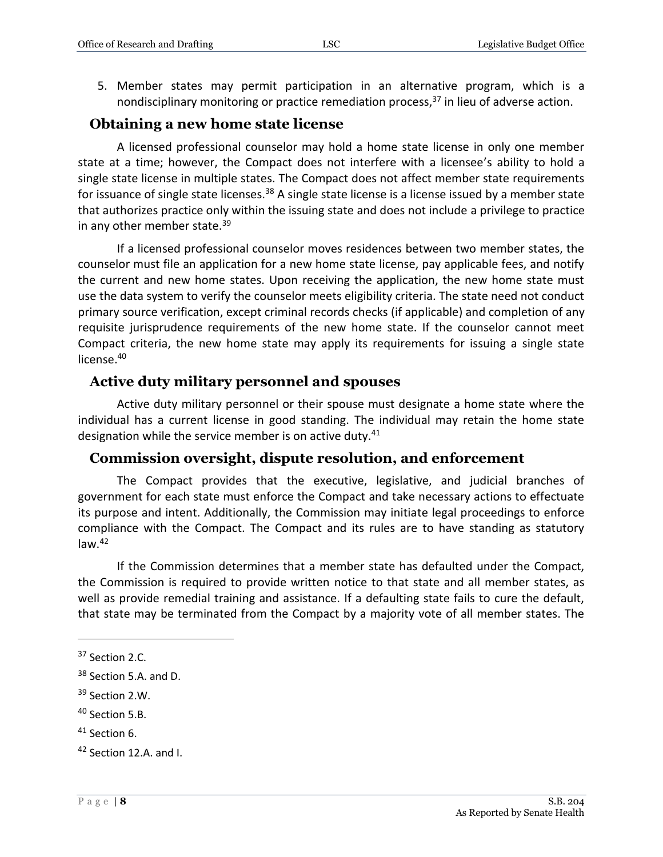5. Member states may permit participation in an alternative program, which is a nondisciplinary monitoring or practice remediation process,<sup>37</sup> in lieu of adverse action.

## **Obtaining a new home state license**

A licensed professional counselor may hold a home state license in only one member state at a time; however, the Compact does not interfere with a licensee's ability to hold a single state license in multiple states. The Compact does not affect member state requirements for issuance of single state licenses.<sup>38</sup> A single state license is a license issued by a member state that authorizes practice only within the issuing state and does not include a privilege to practice in any other member state.<sup>39</sup>

If a licensed professional counselor moves residences between two member states, the counselor must file an application for a new home state license, pay applicable fees, and notify the current and new home states. Upon receiving the application, the new home state must use the data system to verify the counselor meets eligibility criteria. The state need not conduct primary source verification, except criminal records checks (if applicable) and completion of any requisite jurisprudence requirements of the new home state. If the counselor cannot meet Compact criteria, the new home state may apply its requirements for issuing a single state license.<sup>40</sup>

## **Active duty military personnel and spouses**

Active duty military personnel or their spouse must designate a home state where the individual has a current license in good standing. The individual may retain the home state designation while the service member is on active duty.<sup>41</sup>

## **Commission oversight, dispute resolution, and enforcement**

The Compact provides that the executive, legislative, and judicial branches of government for each state must enforce the Compact and take necessary actions to effectuate its purpose and intent. Additionally, the Commission may initiate legal proceedings to enforce compliance with the Compact. The Compact and its rules are to have standing as statutory  $law.<sup>42</sup>$ 

If the Commission determines that a member state has defaulted under the Compact, the Commission is required to provide written notice to that state and all member states, as well as provide remedial training and assistance. If a defaulting state fails to cure the default, that state may be terminated from the Compact by a majority vote of all member states. The

- <sup>39</sup> Section 2.W.
- <sup>40</sup> Section 5.B.
- <sup>41</sup> Section 6.

<sup>&</sup>lt;sup>37</sup> Section 2.C.

<sup>&</sup>lt;sup>38</sup> Section 5.A. and D.

<sup>42</sup> Section 12.A. and I.